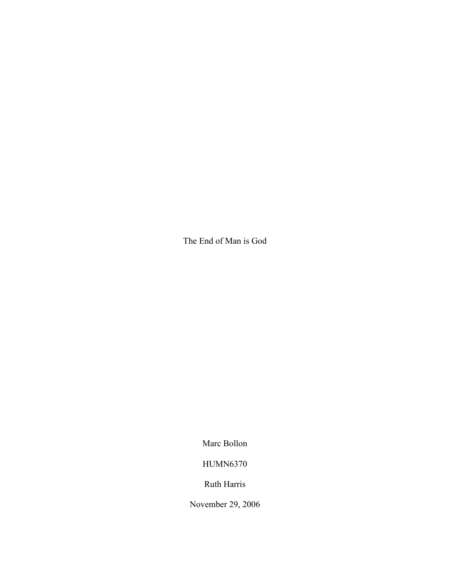The End of Man is God

Marc Bollon

HUMN6370

Ruth Harris

November 29, 2006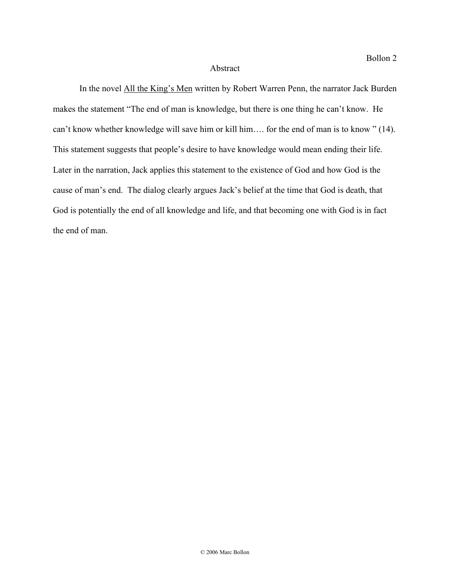## Abstract

In the novel All the King's Men written by Robert Warren Penn, the narrator Jack Burden makes the statement "The end of man is knowledge, but there is one thing he can't know. He can't know whether knowledge will save him or kill him…. for the end of man is to know " (14). This statement suggests that people's desire to have knowledge would mean ending their life. Later in the narration, Jack applies this statement to the existence of God and how God is the cause of man's end. The dialog clearly argues Jack's belief at the time that God is death, that God is potentially the end of all knowledge and life, and that becoming one with God is in fact the end of man.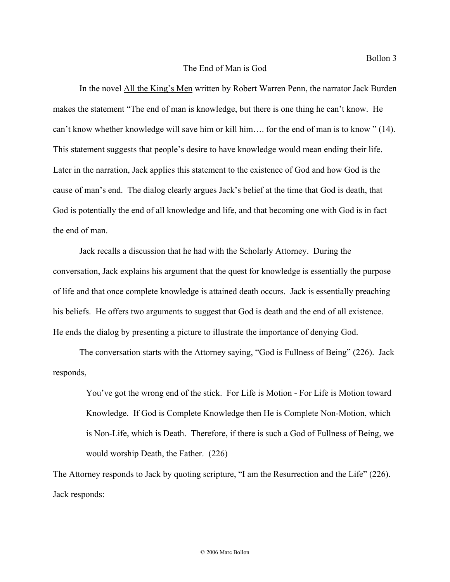In the novel All the King's Men written by Robert Warren Penn, the narrator Jack Burden makes the statement "The end of man is knowledge, but there is one thing he can't know. He can't know whether knowledge will save him or kill him…. for the end of man is to know " (14). This statement suggests that people's desire to have knowledge would mean ending their life. Later in the narration, Jack applies this statement to the existence of God and how God is the cause of man's end. The dialog clearly argues Jack's belief at the time that God is death, that God is potentially the end of all knowledge and life, and that becoming one with God is in fact the end of man.

Jack recalls a discussion that he had with the Scholarly Attorney. During the conversation, Jack explains his argument that the quest for knowledge is essentially the purpose of life and that once complete knowledge is attained death occurs. Jack is essentially preaching his beliefs. He offers two arguments to suggest that God is death and the end of all existence. He ends the dialog by presenting a picture to illustrate the importance of denying God.

The conversation starts with the Attorney saying, "God is Fullness of Being" (226). Jack responds,

You've got the wrong end of the stick. For Life is Motion - For Life is Motion toward Knowledge. If God is Complete Knowledge then He is Complete Non-Motion, which is Non-Life, which is Death. Therefore, if there is such a God of Fullness of Being, we would worship Death, the Father. (226)

The Attorney responds to Jack by quoting scripture, "I am the Resurrection and the Life" (226). Jack responds: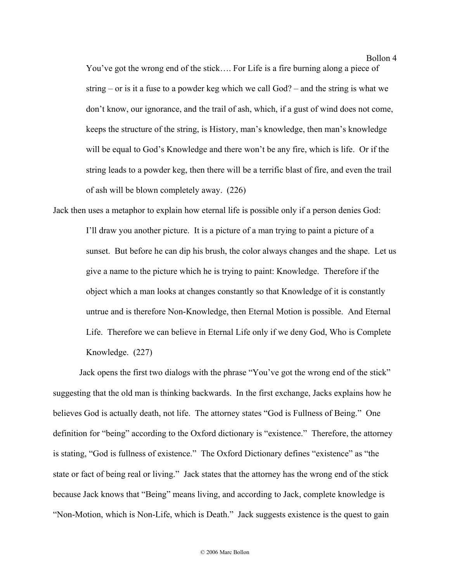Bollon 4

You've got the wrong end of the stick…. For Life is a fire burning along a piece of string – or is it a fuse to a powder keg which we call God? – and the string is what we don't know, our ignorance, and the trail of ash, which, if a gust of wind does not come, keeps the structure of the string, is History, man's knowledge, then man's knowledge will be equal to God's Knowledge and there won't be any fire, which is life. Or if the string leads to a powder keg, then there will be a terrific blast of fire, and even the trail of ash will be blown completely away. (226)

Jack then uses a metaphor to explain how eternal life is possible only if a person denies God: I'll draw you another picture. It is a picture of a man trying to paint a picture of a sunset. But before he can dip his brush, the color always changes and the shape. Let us give a name to the picture which he is trying to paint: Knowledge. Therefore if the object which a man looks at changes constantly so that Knowledge of it is constantly untrue and is therefore Non-Knowledge, then Eternal Motion is possible. And Eternal Life. Therefore we can believe in Eternal Life only if we deny God, Who is Complete Knowledge. (227)

Jack opens the first two dialogs with the phrase "You've got the wrong end of the stick" suggesting that the old man is thinking backwards. In the first exchange, Jacks explains how he believes God is actually death, not life. The attorney states "God is Fullness of Being." One definition for "being" according to the Oxford dictionary is "existence." Therefore, the attorney is stating, "God is fullness of existence." The Oxford Dictionary defines "existence" as "the state or fact of being real or living." Jack states that the attorney has the wrong end of the stick because Jack knows that "Being" means living, and according to Jack, complete knowledge is "Non-Motion, which is Non-Life, which is Death." Jack suggests existence is the quest to gain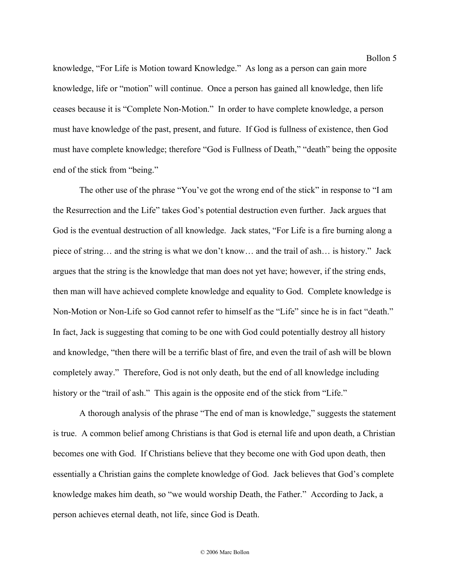Bollon 5

knowledge, "For Life is Motion toward Knowledge." As long as a person can gain more knowledge, life or "motion" will continue. Once a person has gained all knowledge, then life ceases because it is "Complete Non-Motion." In order to have complete knowledge, a person must have knowledge of the past, present, and future. If God is fullness of existence, then God must have complete knowledge; therefore "God is Fullness of Death," "death" being the opposite end of the stick from "being."

The other use of the phrase "You've got the wrong end of the stick" in response to "I am the Resurrection and the Life" takes God's potential destruction even further. Jack argues that God is the eventual destruction of all knowledge. Jack states, "For Life is a fire burning along a piece of string… and the string is what we don't know… and the trail of ash… is history." Jack argues that the string is the knowledge that man does not yet have; however, if the string ends, then man will have achieved complete knowledge and equality to God. Complete knowledge is Non-Motion or Non-Life so God cannot refer to himself as the "Life" since he is in fact "death." In fact, Jack is suggesting that coming to be one with God could potentially destroy all history and knowledge, "then there will be a terrific blast of fire, and even the trail of ash will be blown completely away." Therefore, God is not only death, but the end of all knowledge including history or the "trail of ash." This again is the opposite end of the stick from "Life."

A thorough analysis of the phrase "The end of man is knowledge," suggests the statement is true. A common belief among Christians is that God is eternal life and upon death, a Christian becomes one with God. If Christians believe that they become one with God upon death, then essentially a Christian gains the complete knowledge of God. Jack believes that God's complete knowledge makes him death, so "we would worship Death, the Father." According to Jack, a person achieves eternal death, not life, since God is Death.